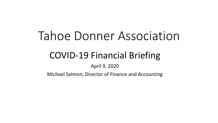# Tahoe Donner Association

# COVID-19 Financial Briefing

April 9, 2020

Michael Salmon, Director of Finance and Accounting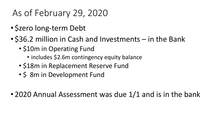# As of February 29, 2020

- \$zero long-term Debt
- \$36.2 million in Cash and Investments in the Bank
	- \$10m in Operating Fund
		- includes \$2.6m contingency equity balance
	- \$18m in Replacement Reserve Fund
	- \$ 8m in Development Fund
- 2020 Annual Assessment was due 1/1 and is in the bank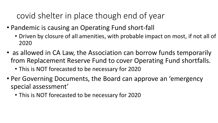### covid shelter in place though end of year

- Pandemic is causing an Operating Fund short-fall
	- Driven by closure of all amenities, with probable impact on most, if not all of 2020
- as allowed in CA Law, the Association can borrow funds temporarily from Replacement Reserve Fund to cover Operating Fund shortfalls.
	- This is NOT forecasted to be necessary for 2020
- Per Governing Documents, the Board can approve an 'emergency special assessment'
	- This is NOT forecasted to be necessary for 2020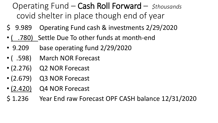### Operating Fund – Cash Roll Forward – *\$thousands* covid shelter in place though end of year

- \$ 9.989 Operating Fund cash & investments 2/29/2020
- ( .780) Settle Due To other funds at month-end
- 9.209 base operating fund 2/29/2020
- ( .598) March NOR Forecast
- (2.276) Q2 NOR Forecast
- (2.679) Q3 NOR Forecast
- (2.420) Q4 NOR Forecast
- \$ 1.236 Year End raw Forecast OPF CASH balance 12/31/2020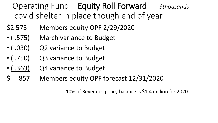#### Operating Fund – Equity Roll Forward – *\$thousands* covid shelter in place though end of year

- \$2.575 Members equity OPF 2/29/2020
- ( .575) March variance to Budget
- ( .030) Q2 variance to Budget
- ( .750) Q3 variance to Budget
- ( .363) Q4 variance to Budget
- \$ .857 Members equity OPF forecast 12/31/2020

10% of Revenues policy balance is \$1.4 million for 2020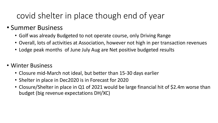### covid shelter in place though end of year

#### • Summer Business

- Golf was already Budgeted to not operate course, only Driving Range
- Overall, lots of activities at Association, however not high in per transaction revenues
- Lodge peak months of June July Aug are Net positive budgeted results
- Winter Business
	- Closure mid-March not ideal, but better than 15-30 days earlier
	- Shelter in place in Dec2020 is in Forecast for 2020
	- Closure/Shelter in place in Q1 of 2021 would be large financial hit of \$2.4m worse than budget (big revenue expectations DH/XC)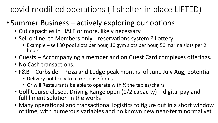covid modified operations (if shelter in place LIFTED)

- Summer Business actively exploring our options
	- Cut capacities in HALF or more, likely necessary
	- Sell online, to Members only. reservations system ? Lottery.
		- Example sell 30 pool slots per hour, 10 gym slots per hour, 50 marina slots per 2 hours
	- Guests Accompanying a member and on Guest Card complexes offerings.
	- No Cash transactions.
	- F&B Curbside Pizza and Lodge peak months of June July Aug, potential
		- Delivery not likely to make sense for us
		- Or will Restaurants be able to operate with  $\frac{1}{2}$  the tables/chairs
	- Golf Course closed, Driving Range open (1/2 capacity) digital pay and fulfillment solution in the works
	- Many operational and transactional logistics to figure out in a short window of time, with numerous variables and no known new near-term normal yet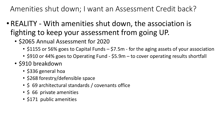Amenities shut down; I want an Assessment Credit back?

- REALITY With amenities shut down, the association is fighting to keep your assessment from going UP.
	- \$2065 Annual Assessment for 2020
		- \$1155 or 56% goes to Capital Funds \$7.5m for the aging assets of your association
		- \$910 or 44% goes to Operating Fund \$5.9m to cover operating results shortfall
	- \$910 breakdown
		- \$336 general hoa
		- \$268 forestry/defensible space
		- \$ 69 architectural standards / covenants office
		- \$ 66 private amenities
		- \$171 public amenities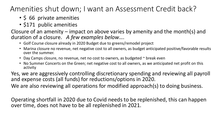#### Amenities shut down; I want an Assessment Credit back?

- \$ 66 private amenities
- \$171 public amenities

Closure of an amenity – impact on above varies by amenity and the month(s) and duration of a closure. *A few examples below….*

- Golf Course closure already in 2020 Budget due to greens/remodel project
- Marina closure no revenue, net negative cost to all owners, as budget anticipated positive/favorable results over the summer.
- Day Camps closure, no revenue, net no cost to owners, as budgeted  $\sim$  break even
- No Summer Concerts on the Green; net negative cost to all owners, as we anticipated net profit on this activity

Yes, we are aggressively controlling discretionary spending and reviewing all payroll and expense costs (all funds) for reductions/options in 2020.

We are also reviewing all operations for modified approach(s) to doing business.

Operating shortfall in 2020 due to Covid needs to be replenished, this can happen over time, does not have to be all replenished in 2021.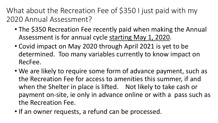What about the Recreation Fee of \$350 I just paid with my 2020 Annual Assessment?

- The \$350 Recreation Fee recently paid when making the Annual Assessment is for annual cycle starting May 1, 2020.
- Covid impact on May 2020 through April 2021 is yet to be determined. Too many variables currently to know impact on RecFee.
- We are likely to require some form of advance payment, such as the Recreation Fee for access to amenities this summer, if and when the Shelter in place is lifted. Not likely to take cash or payment on-site, ie only in advance online or with a pass such as the Recreation Fee.
- If an owner requests, a refund can be processed.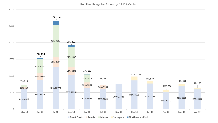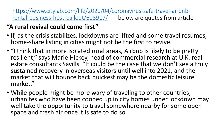[https://www.citylab.com/life/2020/04/coronavirus-safe-travel-airbnb](https://www.citylab.com/life/2020/04/coronavirus-safe-travel-airbnb-rental-business-host-bailout/608917/)rental-business-host-bailout/608917/ below are quotes from article

#### **"A rural revival could come first"**

- If, as the crisis stabilizes, lockdowns are lifted and some travel resumes, home-share listing in cities might not be the first to revive.
- "I think that in more isolated rural areas, Airbnb is likely to be pretty resilient," says Marie Hickey, head of commercial research at U.K. real estate consultants Savills. "It could be the case that we don't see a truly sustained recovery in overseas visitors until well into 2021, and the market that will bounce back quickest may be the domestic leisure market."
- While people might be more wary of traveling to other countries, urbanites who have been cooped up in city homes under lockdown may well take the opportunity to travel somewhere nearby for some open space and fresh air once it is safe to do so.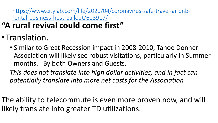[https://www.citylab.com/life/2020/04/coronavirus-safe-travel-airbnb](https://www.citylab.com/life/2020/04/coronavirus-safe-travel-airbnb-rental-business-host-bailout/608917/)rental-business-host-bailout/608917/

- **"A rural revival could come first"**
- •Translation.
	- Similar to Great Recession impact in 2008-2010, Tahoe Donner Association will likely see robust visitations, particularly in Summer months. By both Owners and Guests.

*This does not translate into high dollar activities, and in fact can potentially translate into more net costs for the Association*

The ability to telecommute is even more proven now, and will likely translate into greater TD utilizations.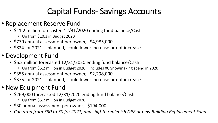## Capital Funds- Savings Accounts

- Replacement Reserve Fund
	- \$11.2 million forecasted 12/31/2020 ending fund balance/Cash
		- Up from \$10.3 in Budget 2020
	- \$770 annual assessment per owner, \$4,985,000
	- \$824 for 2021 is planned, could lower increase or not increase
- Development Fund
	- \$6.2 million forecasted 12/31/2020 ending fund balance/Cash
		- Up from \$5.2 million in Budget 2020. Includes XC Snowmaking spend in 2020
	- \$355 annual assessment per owner, \$2,298,000
	- \$375 for 2021 is planned, could lower increase or not increase
- New Equipment Fund
	- \$269,000 forecasted 12/31/2020 ending fund balance/Cash
		- Up from \$5.2 million in Budget 2020
	- \$30 annual assessment per owner, \$194,000
	- *Can drop from \$30 to \$0 for 2021, and shift to replenish OPF or new Building Replacement Fund*